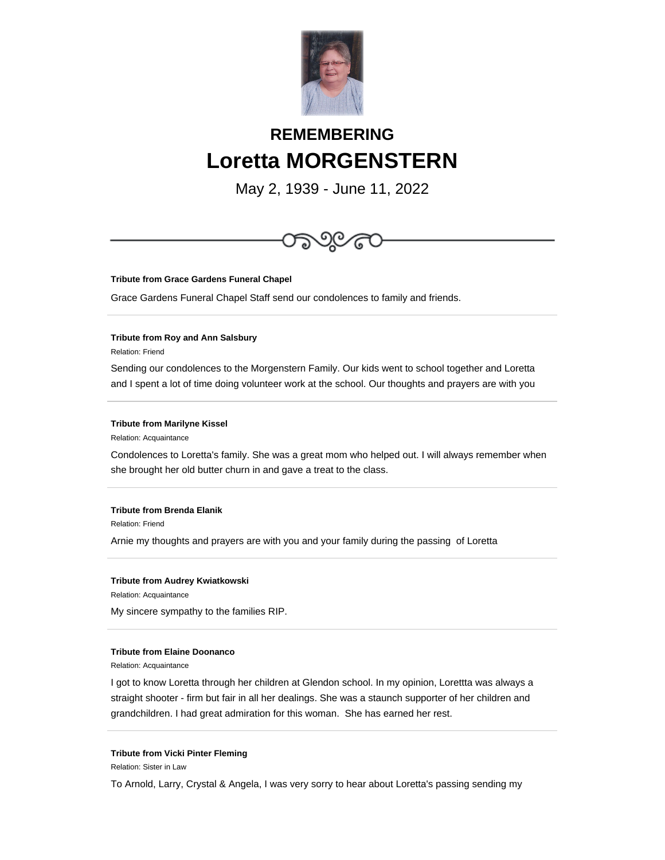

# **REMEMBERING Loretta MORGENSTERN**

May 2, 1939 - June 11, 2022



**Tribute from Grace Gardens Funeral Chapel**

Grace Gardens Funeral Chapel Staff send our condolences to family and friends.

## **Tribute from Roy and Ann Salsbury**

Relation: Friend

Sending our condolences to the Morgenstern Family. Our kids went to school together and Loretta and I spent a lot of time doing volunteer work at the school. Our thoughts and prayers are with you

### **Tribute from Marilyne Kissel**

Relation: Acquaintance

Condolences to Loretta's family. She was a great mom who helped out. I will always remember when she brought her old butter churn in and gave a treat to the class.

## **Tribute from Brenda Elanik**

Relation: Friend

Arnie my thoughts and prayers are with you and your family during the passing of Loretta

#### **Tribute from Audrey Kwiatkowski**

Relation: Acquaintance

My sincere sympathy to the families RIP.

## **Tribute from Elaine Doonanco**

Relation: Acquaintance

I got to know Loretta through her children at Glendon school. In my opinion, Lorettta was always a straight shooter - firm but fair in all her dealings. She was a staunch supporter of her children and grandchildren. I had great admiration for this woman. She has earned her rest.

#### **Tribute from Vicki Pinter Fleming**

Relation: Sister in Law

To Arnold, Larry, Crystal & Angela, I was very sorry to hear about Loretta's passing sending my